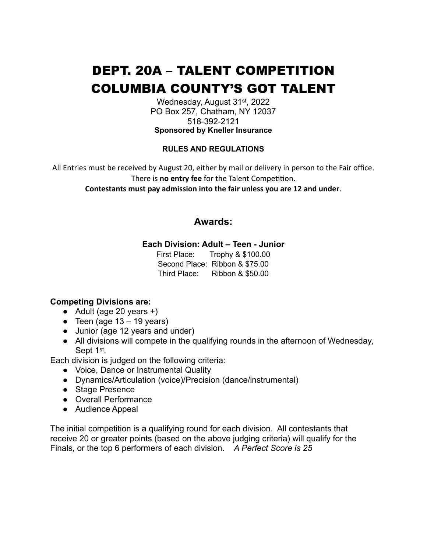# DEPT. 20A – TALENT COMPETITION COLUMBIA COUNTY'S GOT TALENT

Wednesday, August 31st, 2022 PO Box 257, Chatham, NY 12037 518-392-2121 **Sponsored by Kneller Insurance**

#### **RULES AND REGULATIONS**

All Entries must be received by August 20, either by mail or delivery in person to the Fair office. There is **no entry fee** for the Talent Competition.

**Contestants must pay admission into the fair unless you are 12 and under**.

# **Awards:**

#### **Each Division: Adult – Teen - Junior**

First Place: Trophy & \$100.00 Second Place: Ribbon & \$75.00 Third Place: Ribbon & \$50.00

## **Competing Divisions are:**

- $\bullet$  Adult (age 20 years +)
- Teen (age  $13 19$  years)
- Junior (age 12 years and under)
- All divisions will compete in the qualifying rounds in the afternoon of Wednesday, Sept 1<sup>st</sup>.

Each division is judged on the following criteria:

- Voice, Dance or Instrumental Quality
- Dynamics/Articulation (voice)/Precision (dance/instrumental)
- Stage Presence
- Overall Performance
- Audience Appeal

The initial competition is a qualifying round for each division. All contestants that receive 20 or greater points (based on the above judging criteria) will qualify for the Finals, or the top 6 performers of each division. *A Perfect Score is 25*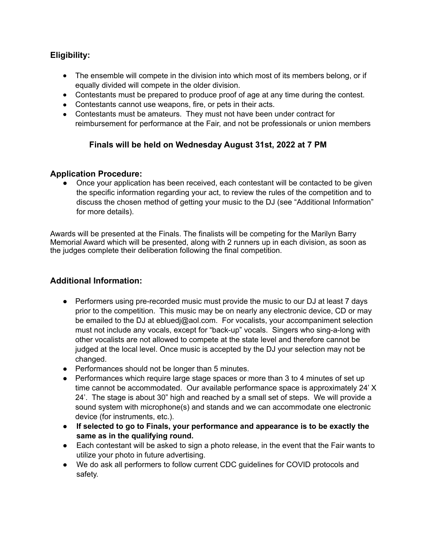# **Eligibility:**

- The ensemble will compete in the division into which most of its members belong, or if equally divided will compete in the older division.
- Contestants must be prepared to produce proof of age at any time during the contest.
- Contestants cannot use weapons, fire, or pets in their acts.
- Contestants must be amateurs. They must not have been under contract for reimbursement for performance at the Fair, and not be professionals or union members

# **Finals will be held on Wednesday August 31st, 2022 at 7 PM**

## **Application Procedure:**

**●** Once your application has been received, each contestant will be contacted to be given the specific information regarding your act, to review the rules of the competition and to discuss the chosen method of getting your music to the DJ (see "Additional Information" for more details).

Awards will be presented at the Finals. The finalists will be competing for the Marilyn Barry Memorial Award which will be presented, along with 2 runners up in each division, as soon as the judges complete their deliberation following the final competition.

# **Additional Information:**

- **●** Performers using pre-recorded music must provide the music to our DJ at least 7 days prior to the competition. This music may be on nearly any electronic device, CD or may be emailed to the DJ at ebluedj@aol.com. For vocalists, your accompaniment selection must not include any vocals, except for "back-up" vocals. Singers who sing-a-long with other vocalists are not allowed to compete at the state level and therefore cannot be judged at the local level. Once music is accepted by the DJ your selection may not be changed.
- **●** Performances should not be longer than 5 minutes.
- **●** Performances which require large stage spaces or more than 3 to 4 minutes of set up time cannot be accommodated. Our available performance space is approximately 24' X 24'. The stage is about 30" high and reached by a small set of steps. We will provide a sound system with microphone(s) and stands and we can accommodate one electronic device (for instruments, etc.).
- **● If selected to go to Finals, your performance and appearance is to be exactly the same as in the qualifying round.**
- **●** Each contestant will be asked to sign a photo release, in the event that the Fair wants to utilize your photo in future advertising.
- **●** We do ask all performers to follow current CDC guidelines for COVID protocols and safety.